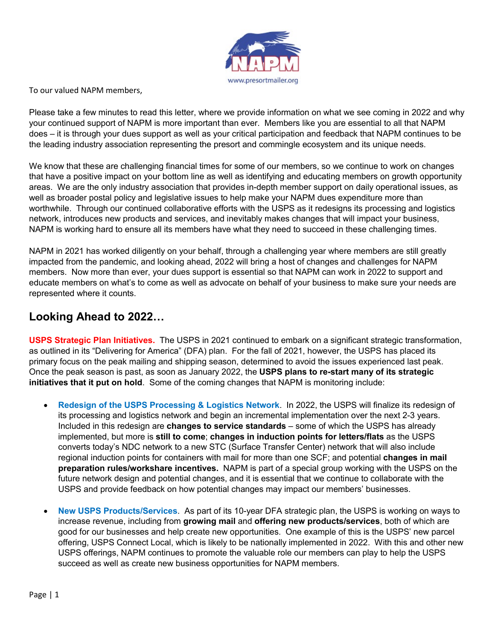

To our valued NAPM members,

Please take a few minutes to read this letter, where we provide information on what we see coming in 2022 and why your continued support of NAPM is more important than ever. Members like you are essential to all that NAPM does – it is through your dues support as well as your critical participation and feedback that NAPM continues to be the leading industry association representing the presort and commingle ecosystem and its unique needs.

We know that these are challenging financial times for some of our members, so we continue to work on changes that have a positive impact on your bottom line as well as identifying and educating members on growth opportunity areas. We are the only industry association that provides in-depth member support on daily operational issues, as well as broader postal policy and legislative issues to help make your NAPM dues expenditure more than worthwhile. Through our continued collaborative efforts with the USPS as it redesigns its processing and logistics network, introduces new products and services, and inevitably makes changes that will impact your business, NAPM is working hard to ensure all its members have what they need to succeed in these challenging times.

NAPM in 2021 has worked diligently on your behalf, through a challenging year where members are still greatly impacted from the pandemic, and looking ahead, 2022 will bring a host of changes and challenges for NAPM members. Now more than ever, your dues support is essential so that NAPM can work in 2022 to support and educate members on what's to come as well as advocate on behalf of your business to make sure your needs are represented where it counts.

## **Looking Ahead to 2022…**

**USPS Strategic Plan Initiatives.** The USPS in 2021 continued to embark on a significant strategic transformation, as outlined in its "Delivering for America" (DFA) plan. For the fall of 2021, however, the USPS has placed its primary focus on the peak mailing and shipping season, determined to avoid the issues experienced last peak. Once the peak season is past, as soon as January 2022, the **USPS plans to re-start many of its strategic initiatives that it put on hold**. Some of the coming changes that NAPM is monitoring include:

- **Redesign of the USPS Processing & Logistics Network**. In 2022, the USPS will finalize its redesign of its processing and logistics network and begin an incremental implementation over the next 2-3 years. Included in this redesign are **changes to service standards** – some of which the USPS has already implemented, but more is **still to come**; **changes in induction points for letters/flats** as the USPS converts today's NDC network to a new STC (Surface Transfer Center) network that will also include regional induction points for containers with mail for more than one SCF; and potential **changes in mail preparation rules/workshare incentives.** NAPM is part of a special group working with the USPS on the future network design and potential changes, and it is essential that we continue to collaborate with the USPS and provide feedback on how potential changes may impact our members' businesses.
- **New USPS Products/Services**. As part of its 10-year DFA strategic plan, the USPS is working on ways to increase revenue, including from **growing mail** and **offering new products/services**, both of which are good for our businesses and help create new opportunities. One example of this is the USPS' new parcel offering, USPS Connect Local, which is likely to be nationally implemented in 2022. With this and other new USPS offerings, NAPM continues to promote the valuable role our members can play to help the USPS succeed as well as create new business opportunities for NAPM members.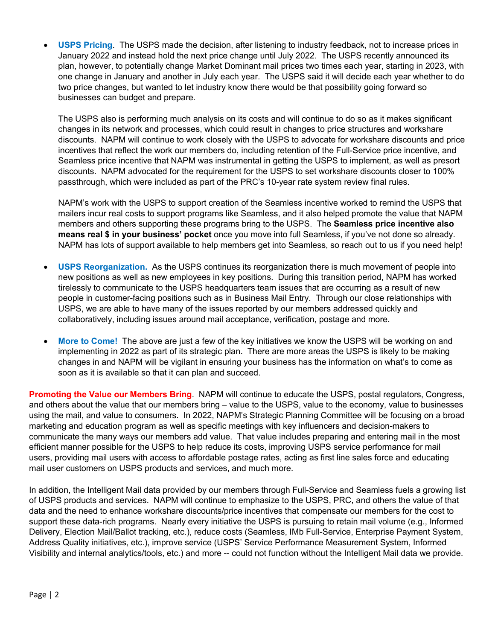• **USPS Pricing**. The USPS made the decision, after listening to industry feedback, not to increase prices in January 2022 and instead hold the next price change until July 2022. The USPS recently announced its plan, however, to potentially change Market Dominant mail prices two times each year, starting in 2023, with one change in January and another in July each year. The USPS said it will decide each year whether to do two price changes, but wanted to let industry know there would be that possibility going forward so businesses can budget and prepare.

The USPS also is performing much analysis on its costs and will continue to do so as it makes significant changes in its network and processes, which could result in changes to price structures and workshare discounts. NAPM will continue to work closely with the USPS to advocate for workshare discounts and price incentives that reflect the work our members do, including retention of the Full-Service price incentive, and Seamless price incentive that NAPM was instrumental in getting the USPS to implement, as well as presort discounts. NAPM advocated for the requirement for the USPS to set workshare discounts closer to 100% passthrough, which were included as part of the PRC's 10-year rate system review final rules.

NAPM's work with the USPS to support creation of the Seamless incentive worked to remind the USPS that mailers incur real costs to support programs like Seamless, and it also helped promote the value that NAPM members and others supporting these programs bring to the USPS. The **Seamless price incentive also means real \$ in your business' pocket** once you move into full Seamless, if you've not done so already. NAPM has lots of support available to help members get into Seamless, so reach out to us if you need help!

- **USPS Reorganization.** As the USPS continues its reorganization there is much movement of people into new positions as well as new employees in key positions. During this transition period, NAPM has worked tirelessly to communicate to the USPS headquarters team issues that are occurring as a result of new people in customer-facing positions such as in Business Mail Entry. Through our close relationships with USPS, we are able to have many of the issues reported by our members addressed quickly and collaboratively, including issues around mail acceptance, verification, postage and more.
- **More to Come!** The above are just a few of the key initiatives we know the USPS will be working on and implementing in 2022 as part of its strategic plan. There are more areas the USPS is likely to be making changes in and NAPM will be vigilant in ensuring your business has the information on what's to come as soon as it is available so that it can plan and succeed.

**Promoting the Value our Members Bring**. NAPM will continue to educate the USPS, postal regulators, Congress, and others about the value that our members bring – value to the USPS, value to the economy, value to businesses using the mail, and value to consumers. In 2022, NAPM's Strategic Planning Committee will be focusing on a broad marketing and education program as well as specific meetings with key influencers and decision-makers to communicate the many ways our members add value. That value includes preparing and entering mail in the most efficient manner possible for the USPS to help reduce its costs, improving USPS service performance for mail users, providing mail users with access to affordable postage rates, acting as first line sales force and educating mail user customers on USPS products and services, and much more.

In addition, the Intelligent Mail data provided by our members through Full-Service and Seamless fuels a growing list of USPS products and services. NAPM will continue to emphasize to the USPS, PRC, and others the value of that data and the need to enhance workshare discounts/price incentives that compensate our members for the cost to support these data-rich programs. Nearly every initiative the USPS is pursuing to retain mail volume (e.g., Informed Delivery, Election Mail/Ballot tracking, etc.), reduce costs (Seamless, IMb Full-Service, Enterprise Payment System, Address Quality initiatives, etc.), improve service (USPS' Service Performance Measurement System, Informed Visibility and internal analytics/tools, etc.) and more -- could not function without the Intelligent Mail data we provide.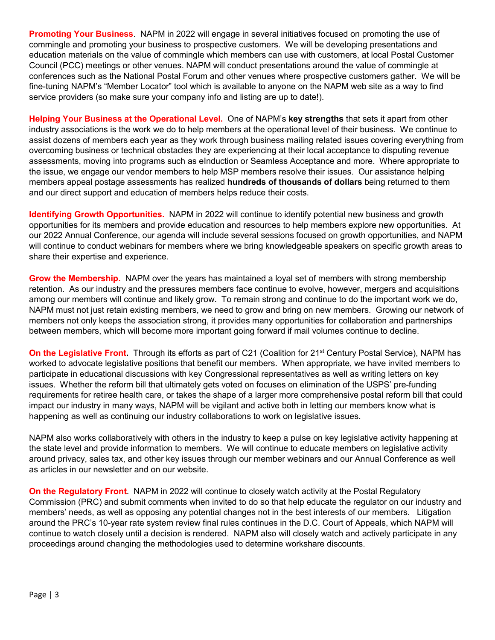**Promoting Your Business**. NAPM in 2022 will engage in several initiatives focused on promoting the use of commingle and promoting your business to prospective customers. We will be developing presentations and education materials on the value of commingle which members can use with customers, at local Postal Customer Council (PCC) meetings or other venues. NAPM will conduct presentations around the value of commingle at conferences such as the National Postal Forum and other venues where prospective customers gather. We will be fine-tuning NAPM's "Member Locator" tool which is available to anyone on the NAPM web site as a way to find service providers (so make sure your company info and listing are up to date!).

**Helping Your Business at the Operational Level.** One of NAPM's **key strengths** that sets it apart from other industry associations is the work we do to help members at the operational level of their business. We continue to assist dozens of members each year as they work through business mailing related issues covering everything from overcoming business or technical obstacles they are experiencing at their local acceptance to disputing revenue assessments, moving into programs such as eInduction or Seamless Acceptance and more. Where appropriate to the issue, we engage our vendor members to help MSP members resolve their issues. Our assistance helping members appeal postage assessments has realized **hundreds of thousands of dollars** being returned to them and our direct support and education of members helps reduce their costs.

**Identifying Growth Opportunities.** NAPM in 2022 will continue to identify potential new business and growth opportunities for its members and provide education and resources to help members explore new opportunities. At our 2022 Annual Conference, our agenda will include several sessions focused on growth opportunities, and NAPM will continue to conduct webinars for members where we bring knowledgeable speakers on specific growth areas to share their expertise and experience.

**Grow the Membership.** NAPM over the years has maintained a loyal set of members with strong membership retention. As our industry and the pressures members face continue to evolve, however, mergers and acquisitions among our members will continue and likely grow. To remain strong and continue to do the important work we do, NAPM must not just retain existing members, we need to grow and bring on new members. Growing our network of members not only keeps the association strong, it provides many opportunities for collaboration and partnerships between members, which will become more important going forward if mail volumes continue to decline.

**On the Legislative Front**. Through its efforts as part of C21 (Coalition for 21<sup>st</sup> Century Postal Service), NAPM has worked to advocate legislative positions that benefit our members. When appropriate, we have invited members to participate in educational discussions with key Congressional representatives as well as writing letters on key issues. Whether the reform bill that ultimately gets voted on focuses on elimination of the USPS' pre-funding requirements for retiree health care, or takes the shape of a larger more comprehensive postal reform bill that could impact our industry in many ways, NAPM will be vigilant and active both in letting our members know what is happening as well as continuing our industry collaborations to work on legislative issues.

NAPM also works collaboratively with others in the industry to keep a pulse on key legislative activity happening at the state level and provide information to members. We will continue to educate members on legislative activity around privacy, sales tax, and other key issues through our member webinars and our Annual Conference as well as articles in our newsletter and on our website.

**On the Regulatory Front**. NAPM in 2022 will continue to closely watch activity at the Postal Regulatory Commission (PRC) and submit comments when invited to do so that help educate the regulator on our industry and members' needs, as well as opposing any potential changes not in the best interests of our members. Litigation around the PRC's 10-year rate system review final rules continues in the D.C. Court of Appeals, which NAPM will continue to watch closely until a decision is rendered. NAPM also will closely watch and actively participate in any proceedings around changing the methodologies used to determine workshare discounts.